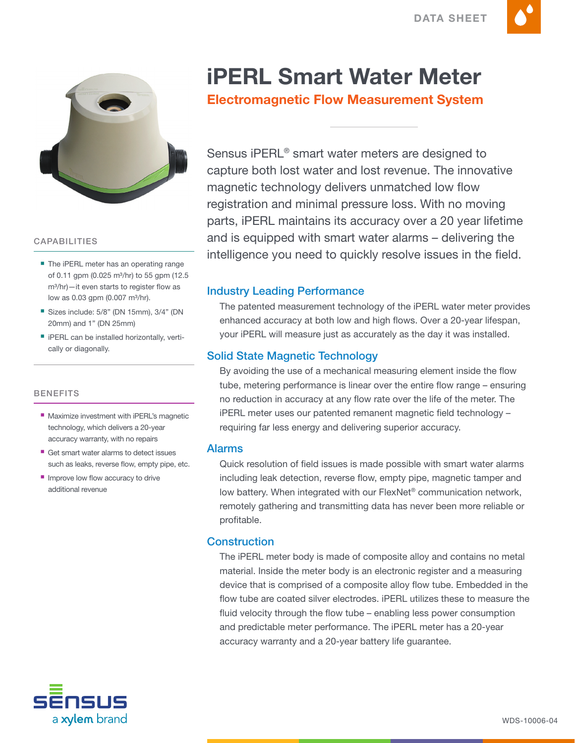

### CAPABILITIES

- The iPERL meter has an operating range of 0.11 gpm (0.025 m<sup>3</sup>/hr) to 55 gpm (12.5) m<sup>3</sup>/hr)—it even starts to register flow as low as 0.03 gpm  $(0.007 \text{ m}^3/\text{hr})$ .
- Sizes include: 5/8" (DN 15mm), 3/4" (DN 20mm) and 1" (DN 25mm)
- **F** iPERL can be installed horizontally, vertically or diagonally.

#### **BENEFITS**

- **Maximize investment with iPERL's magnetic** technology, which delivers a 20-year accuracy warranty, with no repairs
- Get smart water alarms to detect issues such as leaks, reverse flow, empty pipe, etc.
- Improve low flow accuracy to drive additional revenue

# iPERL Smart Water Meter

# Electromagnetic Flow Measurement System

Sensus iPERL® smart water meters are designed to capture both lost water and lost revenue. The innovative magnetic technology delivers unmatched low flow registration and minimal pressure loss. With no moving parts, iPERL maintains its accuracy over a 20 year lifetime and is equipped with smart water alarms – delivering the intelligence you need to quickly resolve issues in the field.

### Industry Leading Performance

The patented measurement technology of the iPERL water meter provides enhanced accuracy at both low and high flows. Over a 20-year lifespan, your iPERL will measure just as accurately as the day it was installed.

### Solid State Magnetic Technology

By avoiding the use of a mechanical measuring element inside the flow tube, metering performance is linear over the entire flow range – ensuring no reduction in accuracy at any flow rate over the life of the meter. The iPERL meter uses our patented remanent magnetic field technology – requiring far less energy and delivering superior accuracy.

### Alarms

Quick resolution of field issues is made possible with smart water alarms including leak detection, reverse flow, empty pipe, magnetic tamper and low battery. When integrated with our FlexNet® communication network, remotely gathering and transmitting data has never been more reliable or profitable.

### **Construction**

The iPERL meter body is made of composite alloy and contains no metal material. Inside the meter body is an electronic register and a measuring device that is comprised of a composite alloy flow tube. Embedded in the flow tube are coated silver electrodes. iPERL utilizes these to measure the fluid velocity through the flow tube – enabling less power consumption and predictable meter performance. The iPERL meter has a 20-year accuracy warranty and a 20-year battery life guarantee.

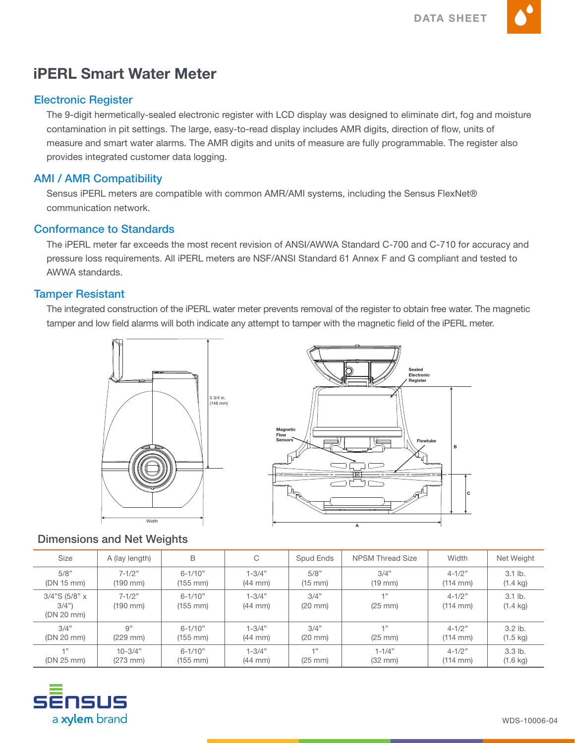

# iPERL Smart Water Meter

## Electronic Register

The 9-digit hermetically-sealed electronic register with LCD display was designed to eliminate dirt, fog and moisture contamination in pit settings. The large, easy-to-read display includes AMR digits, direction of flow, units of measure and smart water alarms. The AMR digits and units of measure are fully programmable. The register also provides integrated customer data logging.

## AMI / AMR Compatibility

Sensus iPERL meters are compatible with common AMR/AMI systems, including the Sensus FlexNet® communication network.

### Conformance to Standards

The iPERL meter far exceeds the most recent revision of ANSI/AWWA Standard C-700 and C-710 for accuracy and pressure loss requirements. All iPERL meters are NSF/ANSI Standard 61 Annex F and G compliant and tested to AWWA standards.

### Tamper Resistant

The integrated construction of the iPERL water meter prevents removal of the register to obtain free water. The magnetic tamper and low field alarms will both indicate any attempt to tamper with the magnetic field of the iPERL meter.





# Dimensions and Net Weights

| <b>Size</b>                            | A (lay length)         | B                                   | C                               | Spud Ends                 | <b>NPSM Thread Size</b>      | Width                              | Net Weight                      |
|----------------------------------------|------------------------|-------------------------------------|---------------------------------|---------------------------|------------------------------|------------------------------------|---------------------------------|
| 5/8"                                   | $7-1/2"$               | $6 - 1/10"$                         | $1 - 3/4"$                      | 5/8"                      | 3/4"                         | $4 - 1/2"$                         | $3.1$ lb.                       |
| (DN 15 mm)                             | (190 mm)               | $(155 \, \text{mm})$                | $(44 \text{ mm})$               | (15 mm)                   | $(19 \text{ mm})$            | $(114 \, \text{mm})$               | $(1.4 \text{ kg})$              |
| $3/4$ "S (5/8" x<br>3/4"<br>(DN 20 mm) | $7 - 1/2"$<br>(190 mm) | $6 - 1/10"$<br>$(155 \, \text{mm})$ | $1 - 3/4"$<br>$(44 \text{ mm})$ | 3/4"<br>$(20 \text{ mm})$ | $-1.33$<br>$(25 \text{ mm})$ | $4 - 1/2"$<br>$(114 \, \text{mm})$ | $3.1$ lb.<br>$(1.4 \text{ kg})$ |
| 3/4"                                   | 9"                     | $6 - 1/10"$                         | $1 - 3/4"$                      | 3/4"                      | $-1.33$                      | $4 - 1/2"$                         | $3.2$ lb.                       |
| (DN 20 mm)                             | $(229$ mm $)$          | $(155 \, \text{mm})$                | $(44 \text{ mm})$               | $(20 \text{ mm})$         | $(25 \text{ mm})$            | $(114 \, \text{mm})$               | $(1.5 \text{ kg})$              |
| $-133$                                 | $10 - 3/4"$            | $6 - 1/10"$                         | $1 - 3/4"$                      | $-133$                    | $1 - 1/4"$                   | $4 - 1/2"$                         | $3.3$ lb.                       |
| (DN 25 mm)                             | $(273 \, \text{mm})$   | $(155 \, \text{mm})$                | $(44 \text{ mm})$               | $(25 \text{ mm})$         | $(32 \text{ mm})$            | $(114 \, \text{mm})$               | $(1.6 \text{ kg})$              |

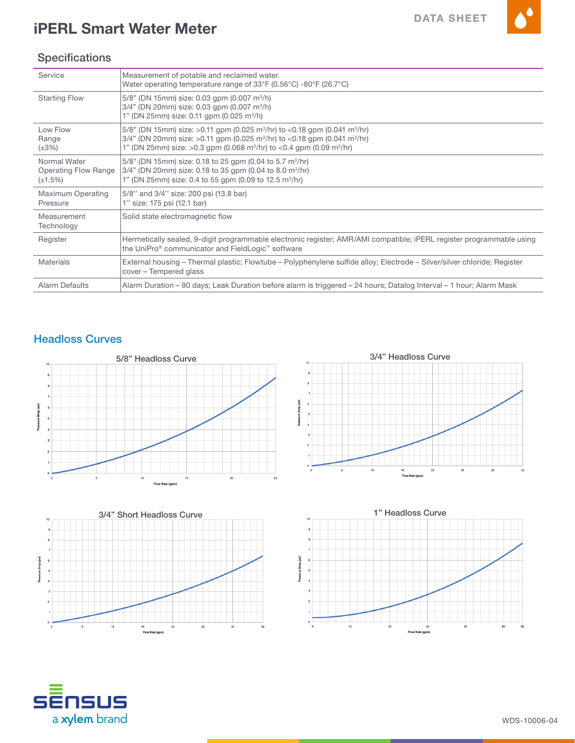$\blacktriangle^{\bullet}$ 



# **Specifications**

| Service                                                      | Measurement of potable and reclaimed water.<br>Water operating temperature range of $33^{\circ}F (0.56^{\circ}C)$ -80 $^{\circ}F (26.7^{\circ}C)$                                                                                                                                                         |
|--------------------------------------------------------------|-----------------------------------------------------------------------------------------------------------------------------------------------------------------------------------------------------------------------------------------------------------------------------------------------------------|
| <b>Starting Flow</b>                                         | $5/8$ " (DN 15mm) size: 0.03 gpm (0.007 m <sup>3</sup> /h)<br>$3/4$ " (DN 20mm) size: 0.03 gpm (0.007 m <sup>3</sup> /h)<br>1" (DN 25mm) size: 0.11 gpm (0.025 m <sup>3</sup> /h)                                                                                                                         |
| Low Flow<br>Range<br>$(\pm 3\%)$                             | 5/8" (DN 15mm) size: >0.11 gpm (0.025 m <sup>3</sup> /hr) to <0.18 gpm (0.041 m <sup>3</sup> /hr)<br>$3/4$ " (DN 20mm) size: >0.11 gpm (0.025 m <sup>3</sup> /hr) to <0.18 gpm (0.041 m <sup>3</sup> /hr)<br>1" (DN 25mm) size: >0.3 gpm (0.068 m <sup>3</sup> /hr) to <0.4 gpm (0.09 m <sup>3</sup> /hr) |
| Normal Water<br><b>Operating Flow Range</b><br>$(\pm 1.5\%)$ | 5/8" (DN 15mm) size: 0.18 to 25 gpm (0.04 to 5.7 m <sup>3</sup> /hr)<br>$3/4$ " (DN 20mm) size: 0.18 to 35 gpm (0.04 to 8.0 m <sup>3</sup> /hr)<br>1" (DN 25mm) size: 0.4 to 55 gpm (0.09 to 12.5 m <sup>3</sup> /hr)                                                                                     |
| Maximum Operating<br>Pressure                                | 5/8" and 3/4" size: 200 psi (13.8 bar)<br>1" size: 175 psi (12.1 bar)                                                                                                                                                                                                                                     |
| Measurement<br>Technology                                    | Solid state electromagnetic flow                                                                                                                                                                                                                                                                          |
| Register                                                     | Hermetically sealed, 9-digit programmable electronic register; AMR/AMI compatible; iPERL register programmable using<br>the UniPro® communicator and FieldLogic™ software                                                                                                                                 |
| <b>Materials</b>                                             | External housing – Thermal plastic; Flowtube – Polyphenylene sulfide alloy; Electrode – Silver/silver chloride; Register<br>cover - Tempered glass                                                                                                                                                        |
| Alarm Defaults                                               | Alarm Duration – 90 days; Leak Duration before alarm is triggered – 24 hours; Datalog Interval – 1 hour; Alarm Mask                                                                                                                                                                                       |

# Headloss Curves